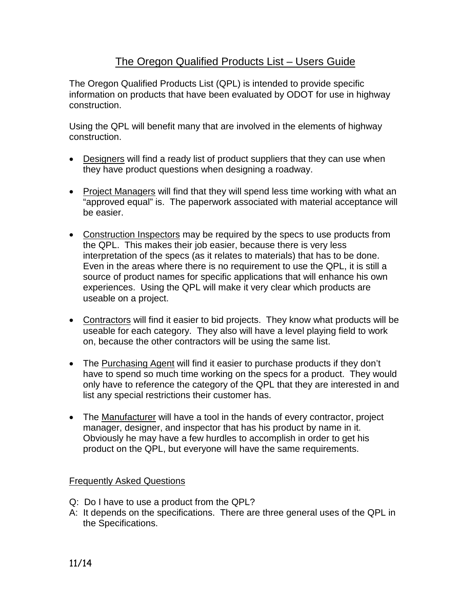## The Oregon Qualified Products List – Users Guide

The Oregon Qualified Products List (QPL) is intended to provide specific information on products that have been evaluated by ODOT for use in highway construction.

Using the QPL will benefit many that are involved in the elements of highway construction.

- Designers will find a ready list of product suppliers that they can use when they have product questions when designing a roadway.
- Project Managers will find that they will spend less time working with what an "approved equal" is. The paperwork associated with material acceptance will be easier.
- Construction Inspectors may be required by the specs to use products from the QPL. This makes their job easier, because there is very less interpretation of the specs (as it relates to materials) that has to be done. Even in the areas where there is no requirement to use the QPL, it is still a source of product names for specific applications that will enhance his own experiences. Using the QPL will make it very clear which products are useable on a project.
- Contractors will find it easier to bid projects. They know what products will be useable for each category. They also will have a level playing field to work on, because the other contractors will be using the same list.
- The Purchasing Agent will find it easier to purchase products if they don't have to spend so much time working on the specs for a product. They would only have to reference the category of the QPL that they are interested in and list any special restrictions their customer has.
- The Manufacturer will have a tool in the hands of every contractor, project manager, designer, and inspector that has his product by name in it. Obviously he may have a few hurdles to accomplish in order to get his product on the QPL, but everyone will have the same requirements.

## Frequently Asked Questions

- Q: Do I have to use a product from the QPL?
- A: It depends on the specifications. There are three general uses of the QPL in the Specifications.